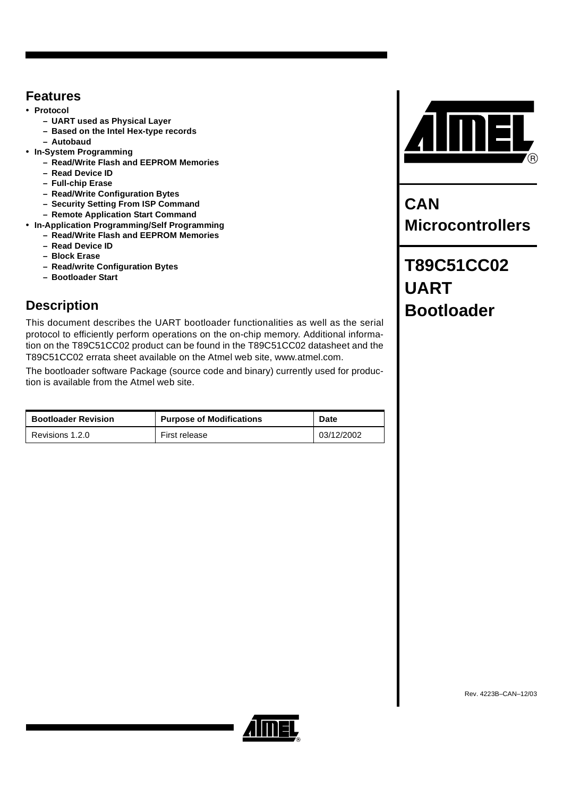## <span id="page-0-0"></span>**Features**

- **Protocol**
	- **UART used as Physical Layer**
	- **Based on the Intel Hex-type records**
	- **Autobaud**
- **In-System Programming**
	- **Read/Write Flash and EEPROM Memories**
	- **Read Device ID**
	- **Full-chip Erase**
	- **Read/Write Configuration Bytes**
	- **Security Setting From ISP Command**
	- **Remote Application Start Command**
- **In-Application Programming/Self Programming**
	- **Read/Write Flash and EEPROM Memories**
	- **Read Device ID**
	- **Block Erase**
	- **Read/write Configuration Bytes**
	- **Bootloader Start**

# <span id="page-0-1"></span>**Description**

This document describes the UART bootloader functionalities as well as the serial protocol to efficiently perform operations on the on-chip memory. Additional information on the T89C51CC02 product can be found in the T89C51CC02 datasheet and the T89C51CC02 errata sheet available on the Atmel web site, www.atmel.com.

The bootloader software Package (source code and binary) currently used for production is available from the Atmel web site.

| <b>Bootloader Revision</b> | <b>Purpose of Modifications</b> | <b>Date</b> |  |
|----------------------------|---------------------------------|-------------|--|
| Revisions 1.2.0            | First release                   | 03/12/2002  |  |



**CAN Microcontrollers**

**T89C51CC02 UART Bootloader**

Rev. 4223B–CAN–12/03

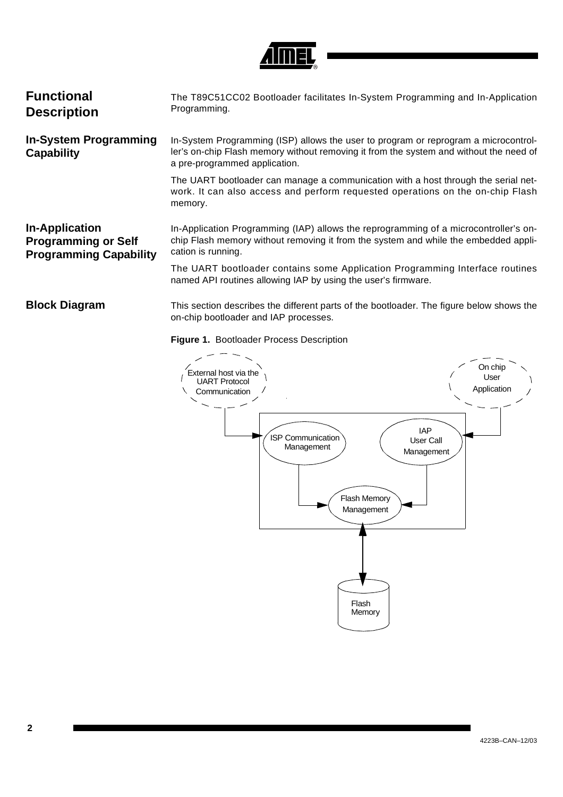

<span id="page-1-2"></span><span id="page-1-1"></span><span id="page-1-0"></span>

| <b>Functional</b><br><b>Description</b>                                              | The T89C51CC02 Bootloader facilitates In-System Programming and In-Application<br>Programming.                                                                                                                 |
|--------------------------------------------------------------------------------------|----------------------------------------------------------------------------------------------------------------------------------------------------------------------------------------------------------------|
| <b>In-System Programming</b><br>Capability                                           | In-System Programming (ISP) allows the user to program or reprogram a microcontrol-<br>ler's on-chip Flash memory without removing it from the system and without the need of<br>a pre-programmed application. |
|                                                                                      | The UART bootloader can manage a communication with a host through the serial net-<br>work. It can also access and perform requested operations on the on-chip Flash<br>memory.                                |
| <b>In-Application</b><br><b>Programming or Self</b><br><b>Programming Capability</b> | In-Application Programming (IAP) allows the reprogramming of a microcontroller's on-<br>chip Flash memory without removing it from the system and while the embedded appli-<br>cation is running.              |
|                                                                                      | The UART bootloader contains some Application Programming Interface routines<br>named API routines allowing IAP by using the user's firmware.                                                                  |
| <b>Block Diagram</b>                                                                 | This section describes the different parts of the bootloader. The figure below shows the<br>on-chip bootloader and IAP processes.                                                                              |

### <span id="page-1-3"></span>**Figure 1.** Bootloader Process Description

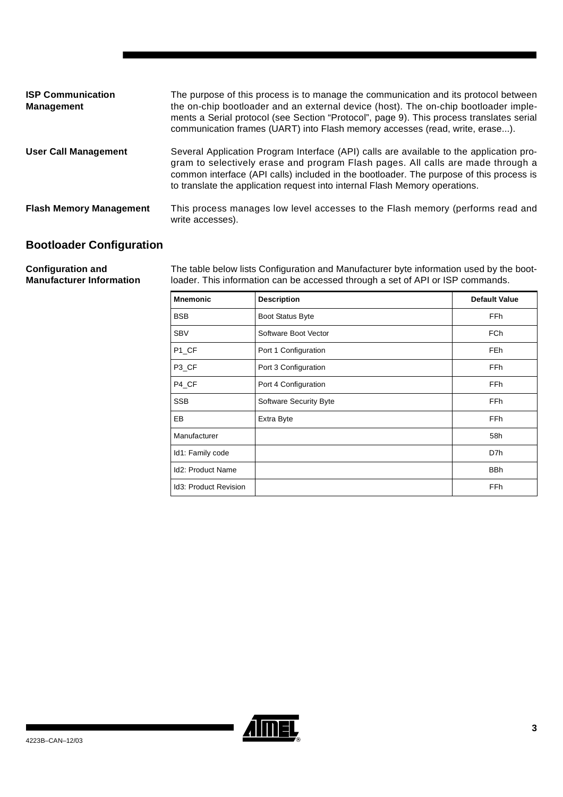| <b>ISP Communication</b><br><b>Management</b> | The purpose of this process is to manage the communication and its protocol between<br>the on-chip bootloader and an external device (host). The on-chip bootloader imple-<br>ments a Serial protocol (see Section "Protocol", page 9). This process translates serial<br>communication frames (UART) into Flash memory accesses (read, write, erase). |
|-----------------------------------------------|--------------------------------------------------------------------------------------------------------------------------------------------------------------------------------------------------------------------------------------------------------------------------------------------------------------------------------------------------------|
| <b>User Call Management</b>                   | Several Application Program Interface (API) calls are available to the application pro-<br>gram to selectively erase and program Flash pages. All calls are made through a<br>common interface (API calls) included in the bootloader. The purpose of this process is<br>to translate the application request into internal Flash Memory operations.   |
| <b>Flash Memory Management</b>                | This process manages low level accesses to the Flash memory (performs read and<br>write accesses).                                                                                                                                                                                                                                                     |

## <span id="page-2-0"></span>**Bootloader Configuration**

**Configuration and Manufacturer Information**  The table below lists Configuration and Manufacturer byte information used by the bootloader. This information can be accessed through a set of API or ISP commands.

| <b>Mnemonic</b>          | <b>Description</b>            | <b>Default Value</b> |
|--------------------------|-------------------------------|----------------------|
| <b>BSB</b>               | <b>Boot Status Byte</b>       | <b>FFh</b>           |
| <b>SBV</b>               | Software Boot Vector          | <b>FCh</b>           |
| P1_CF                    | Port 1 Configuration          | FE <sub>h</sub>      |
| P <sub>3</sub> CF        | Port 3 Configuration          | FF <sub>h</sub>      |
| P4_CF                    | Port 4 Configuration          | <b>FFh</b>           |
| <b>SSB</b>               | <b>Software Security Byte</b> | <b>FFh</b>           |
| EB                       | Extra Byte                    | <b>FFh</b>           |
| Manufacturer             |                               | 58h                  |
| Id1: Family code         |                               | D7h                  |
| <b>Id2: Product Name</b> |                               | <b>BBh</b>           |
| Id3: Product Revision    |                               | FFh                  |

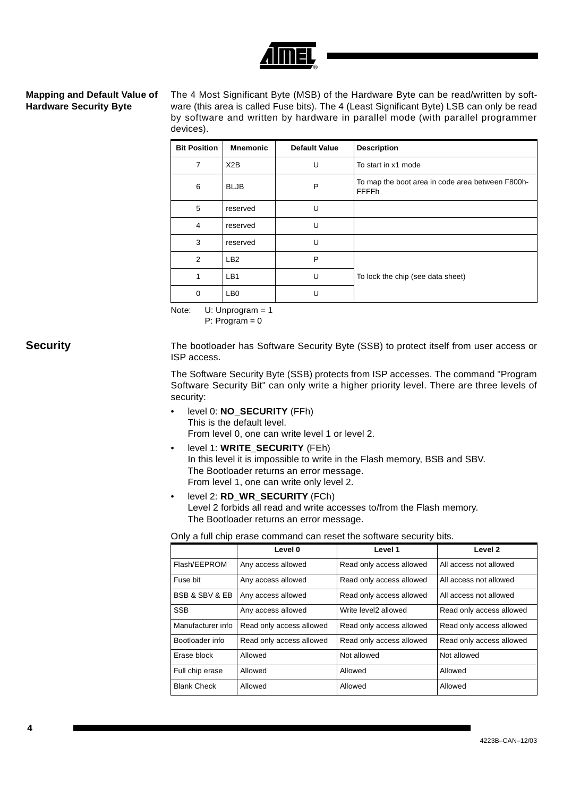

### <span id="page-3-0"></span>**Mapping and Default Value of Hardware Security Byte**

The 4 Most Significant Byte (MSB) of the Hardware Byte can be read/written by software (this area is called Fuse bits). The 4 (Least Significant Byte) LSB can only be read by software and written by hardware in parallel mode (with parallel programmer devices).

| <b>Bit Position</b> | <b>Mnemonic</b> | <b>Default Value</b> | <b>Description</b>                                               |
|---------------------|-----------------|----------------------|------------------------------------------------------------------|
| $\overline{7}$      | X2B             | U                    | To start in x1 mode                                              |
| 6                   | <b>BLJB</b>     | P                    | To map the boot area in code area between F800h-<br><b>FFFFh</b> |
| 5                   | reserved        | U                    |                                                                  |
| 4                   | reserved        | U                    |                                                                  |
| 3                   | reserved        | $\cup$               |                                                                  |
| 2                   | LB <sub>2</sub> | P                    |                                                                  |
| 1                   | LB1             | U                    | To lock the chip (see data sheet)                                |
| 0                   | LB <sub>0</sub> | U                    |                                                                  |

Note: U: Unprogram = 1

P: Program = 0

<span id="page-3-1"></span>**Security** The bootloader has Software Security Byte (SSB) to protect itself from user access or ISP access.

> The Software Security Byte (SSB) protects from ISP accesses. The command "Program Software Security Bit" can only write a higher priority level. There are three levels of security:

- level 0: **NO\_SECURITY** (FFh) This is the default level. From level 0, one can write level 1 or level 2.
- level 1: **WRITE\_SECURITY** (FEh) In this level it is impossible to write in the Flash memory, BSB and SBV. The Bootloader returns an error message. From level 1, one can write only level 2.
- level 2: **RD\_WR\_SECURITY** (FCh) Level 2 forbids all read and write accesses to/from the Flash memory. The Bootloader returns an error message.

Only a full chip erase command can reset the software security bits.

|                               | Level 0                  | Level 1                  | Level <sub>2</sub>       |
|-------------------------------|--------------------------|--------------------------|--------------------------|
| Flash/EEPROM                  | Any access allowed       | Read only access allowed | All access not allowed   |
| Fuse bit                      | Any access allowed       | Read only access allowed | All access not allowed   |
| <b>BSB &amp; SBV &amp; EB</b> | Any access allowed       | Read only access allowed | All access not allowed   |
| <b>SSB</b>                    | Any access allowed       | Write level2 allowed     | Read only access allowed |
| Manufacturer info             | Read only access allowed | Read only access allowed | Read only access allowed |
| Bootloader info               | Read only access allowed | Read only access allowed | Read only access allowed |
| Frase block                   | Allowed                  | Not allowed              | Not allowed              |
| Full chip erase               | Allowed                  | Allowed                  | Allowed                  |
| <b>Blank Check</b>            | Allowed                  | Allowed                  | Allowed                  |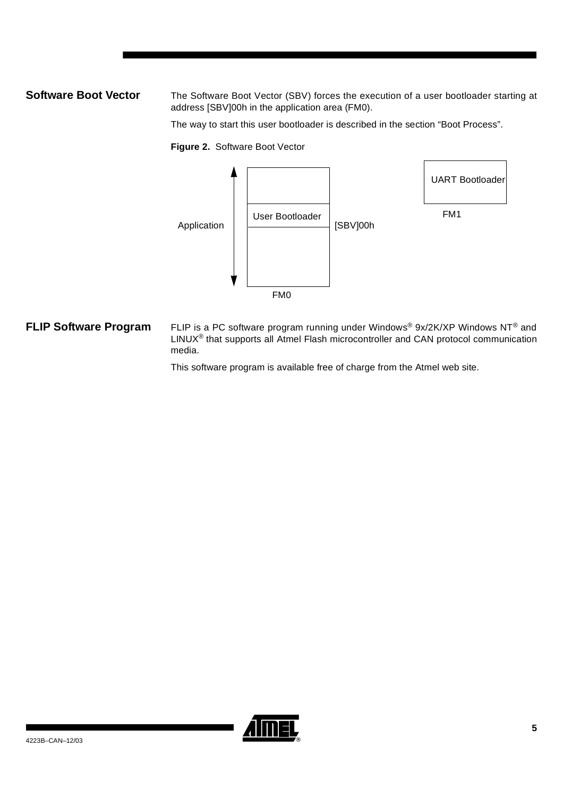<span id="page-4-0"></span>**Software Boot Vector** The Software Boot Vector (SBV) forces the execution of a user bootloader starting at address [SBV]00h in the application area (FM0).

The way to start this user bootloader is described in the section "Boot Process".

**Figure 2.** Software Boot Vector



<span id="page-4-1"></span>**FLIP Software Program** FLIP is a PC software program running under Windows® 9x/2K/XP Windows NT® and LINUX® that supports all Atmel Flash microcontroller and CAN protocol communication media.

This software program is available free of charge from the Atmel web site.

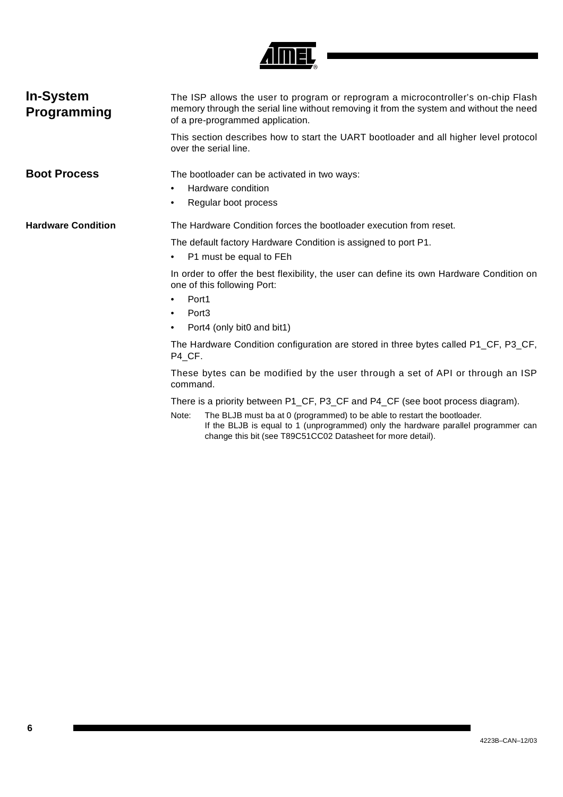

<span id="page-5-1"></span><span id="page-5-0"></span>

| <b>In-System</b><br>Programming | The ISP allows the user to program or reprogram a microcontroller's on-chip Flash<br>memory through the serial line without removing it from the system and without the need<br>of a pre-programmed application.<br>This section describes how to start the UART bootloader and all higher level protocol<br>over the serial line. |  |  |  |  |  |
|---------------------------------|------------------------------------------------------------------------------------------------------------------------------------------------------------------------------------------------------------------------------------------------------------------------------------------------------------------------------------|--|--|--|--|--|
| <b>Boot Process</b>             | The bootloader can be activated in two ways:<br>Hardware condition<br>$\bullet$<br>Regular boot process<br>$\bullet$                                                                                                                                                                                                               |  |  |  |  |  |
| <b>Hardware Condition</b>       | The Hardware Condition forces the bootloader execution from reset.                                                                                                                                                                                                                                                                 |  |  |  |  |  |
|                                 | The default factory Hardware Condition is assigned to port P1.<br>P1 must be equal to FEh<br>$\bullet$                                                                                                                                                                                                                             |  |  |  |  |  |
|                                 | In order to offer the best flexibility, the user can define its own Hardware Condition on<br>one of this following Port:                                                                                                                                                                                                           |  |  |  |  |  |
|                                 | Port1<br>$\bullet$                                                                                                                                                                                                                                                                                                                 |  |  |  |  |  |
|                                 | Port <sub>3</sub><br>$\bullet$                                                                                                                                                                                                                                                                                                     |  |  |  |  |  |
|                                 | Port4 (only bit0 and bit1)<br>$\bullet$                                                                                                                                                                                                                                                                                            |  |  |  |  |  |
|                                 | The Hardware Condition configuration are stored in three bytes called P1_CF, P3_CF,<br>P4_CF.                                                                                                                                                                                                                                      |  |  |  |  |  |
|                                 | These bytes can be modified by the user through a set of API or through an ISP<br>command.                                                                                                                                                                                                                                         |  |  |  |  |  |
|                                 | There is a priority between P1_CF, P3_CF and P4_CF (see boot process diagram).<br>The BLJB must ba at 0 (programmed) to be able to restart the bootloader.<br>Note:<br>If the BLJB is equal to 1 (unprogrammed) only the hardware parallel programmer can<br>change this bit (see T89C51CC02 Datasheet for more detail).           |  |  |  |  |  |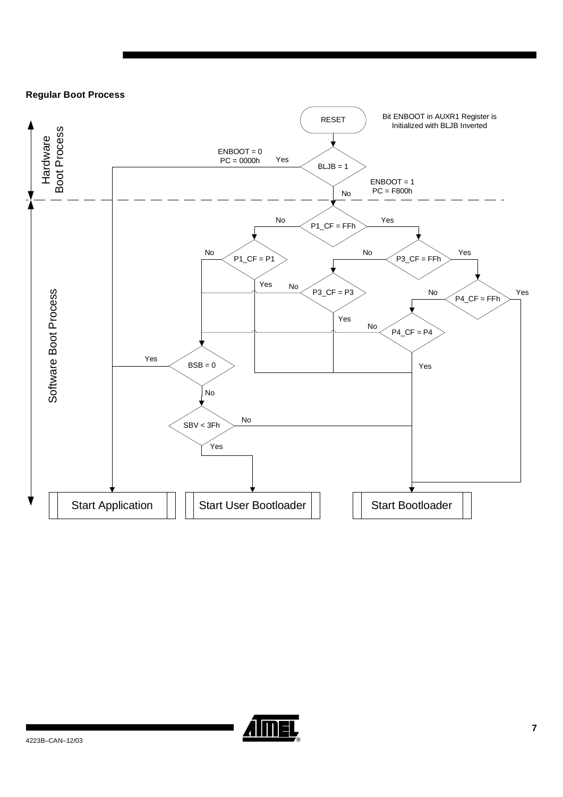### **Regular Boot Process**



![](_page_6_Picture_2.jpeg)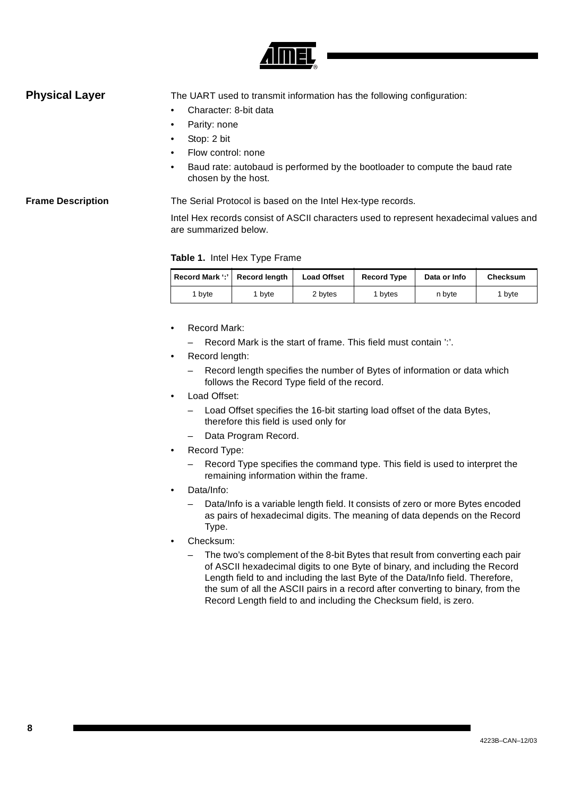![](_page_7_Picture_0.jpeg)

<span id="page-7-0"></span>**Physical Layer** The UART used to transmit information has the following configuration:

- Character: 8-bit data
- Parity: none
- Stop: 2 bit
- Flow control: none
- Baud rate: autobaud is performed by the bootloader to compute the baud rate chosen by the host.

### **Frame Description** The Serial Protocol is based on the Intel Hex-type records.

Intel Hex records consist of ASCII characters used to represent hexadecimal values and are summarized below.

### **Table 1.** Intel Hex Type Frame

|      | Record Mark ':' Record length | <b>Load Offset</b> | <b>Record Type</b> | Data or Info | Checksum |
|------|-------------------------------|--------------------|--------------------|--------------|----------|
| byte | bvte                          | 2 bytes            | 1 bytes            | n byte       | 1 bvte   |

- Record Mark:
	- Record Mark is the start of frame. This field must contain ':'.
- Record length:
	- Record length specifies the number of Bytes of information or data which follows the Record Type field of the record.
- Load Offset:
	- Load Offset specifies the 16-bit starting load offset of the data Bytes, therefore this field is used only for
	- Data Program Record.
- Record Type:
	- Record Type specifies the command type. This field is used to interpret the remaining information within the frame.
- Data/Info:
	- Data/Info is a variable length field. It consists of zero or more Bytes encoded as pairs of hexadecimal digits. The meaning of data depends on the Record Type.
- Checksum:
	- The two's complement of the 8-bit Bytes that result from converting each pair of ASCII hexadecimal digits to one Byte of binary, and including the Record Length field to and including the last Byte of the Data/Info field. Therefore, the sum of all the ASCII pairs in a record after converting to binary, from the Record Length field to and including the Checksum field, is zero.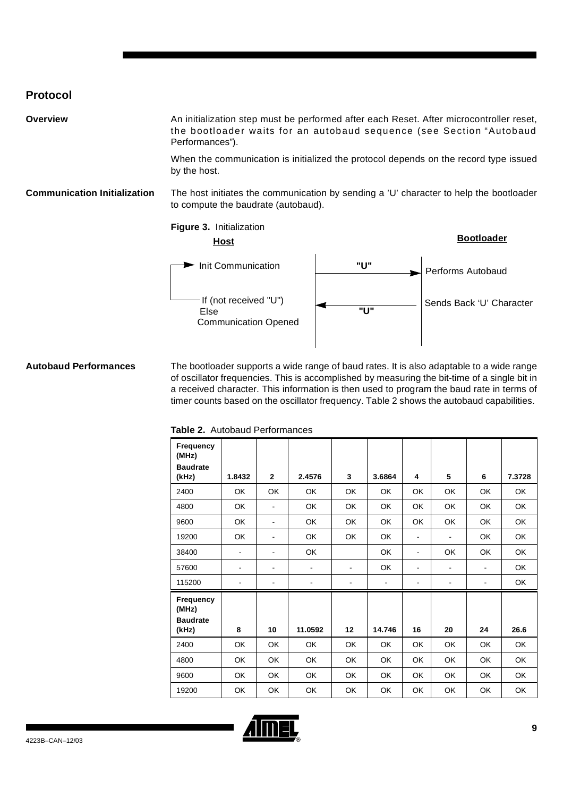## <span id="page-8-0"></span>**Protocol**

| Overview                            | An initialization step must be performed after each Reset. After microcontroller reset,<br>the bootloader waits for an autobaud sequence (see Section "Autobaud<br>Performances"). |     |                          |  |  |  |
|-------------------------------------|------------------------------------------------------------------------------------------------------------------------------------------------------------------------------------|-----|--------------------------|--|--|--|
|                                     | When the communication is initialized the protocol depends on the record type issued<br>by the host.                                                                               |     |                          |  |  |  |
| <b>Communication Initialization</b> | The host initiates the communication by sending a 'U' character to help the bootloader<br>to compute the baudrate (autobaud).                                                      |     |                          |  |  |  |
|                                     | Figure 3. Initialization<br><b>Host</b>                                                                                                                                            |     | <b>Bootloader</b>        |  |  |  |
|                                     | Init Communication                                                                                                                                                                 | "U" | Performs Autobaud        |  |  |  |
|                                     | If (not received "U")<br>Else<br><b>Communication Opened</b>                                                                                                                       | "ע" | Sends Back 'U' Character |  |  |  |

### <span id="page-8-1"></span>**Autobaud Performances** The bootloader supports a wide range of baud rates. It is also adaptable to a wide range of oscillator frequencies. This is accomplished by measuring the bit-time of a single bit in a received character. This information is then used to program the baud rate in terms of timer counts based on the oscillator frequency. [Table 2](#page-8-2) shows the autobaud capabilities.

| Frequency<br>(MHz)<br><b>Baudrate</b><br>(kHz) | 1.8432 | $\mathbf{2}$                 | 2.4576    | 3              | 3.6864    | 4                            | 5                            | 6         | 7.3728    |
|------------------------------------------------|--------|------------------------------|-----------|----------------|-----------|------------------------------|------------------------------|-----------|-----------|
| 2400                                           | OK     | OK                           | OK        | OK             | OK        | OK                           | OK                           | OK        | OK        |
| 4800                                           | OK     | $\overline{\phantom{a}}$     | <b>OK</b> | OK             | <b>OK</b> | OK                           | OK                           | OK        | OK        |
| 9600                                           | OK     | $\overline{\phantom{a}}$     | <b>OK</b> | <b>OK</b>      | <b>OK</b> | OK                           | OK                           | <b>OK</b> | <b>OK</b> |
| 19200                                          | OK     | $\overline{\phantom{a}}$     | OK        | <b>OK</b>      | <b>OK</b> | $\blacksquare$               | $\qquad \qquad \blacksquare$ | OK        | OK        |
| 38400                                          |        | $\qquad \qquad \blacksquare$ | OK        |                | <b>OK</b> | $\blacksquare$               | OK                           | OK        | OK        |
| 57600                                          | ۰      | $\overline{\phantom{a}}$     | ۰         | $\blacksquare$ | OK        | $\blacksquare$               | ۰                            | ۰         | OK        |
| 115200                                         |        | ٠                            |           |                |           | $\qquad \qquad \blacksquare$ | ٠                            |           | OK        |
| Frequency<br>(MHz)<br><b>Baudrate</b><br>(kHz) | 8      | 10                           | 11.0592   | 12             | 14.746    | 16                           | 20                           | 24        | 26.6      |
| 2400                                           | OK     | OK                           | OK        | OK             | OK        | OK                           | <b>OK</b>                    | OK        | OK        |
| 4800                                           | OK     | OK                           | OK        | OK             | OK        | OK                           | OK                           | OK        | OK        |
| 9600                                           | OK     | OK                           | OK        | OK             | OK        | OK                           | OK                           | OK        | OK        |
| 19200                                          | OK     | OK                           | OK        | OK             | OK        | OK                           | OK                           | OK        | OK        |

### <span id="page-8-2"></span>**Table 2.** Autobaud Performances

![](_page_8_Picture_5.jpeg)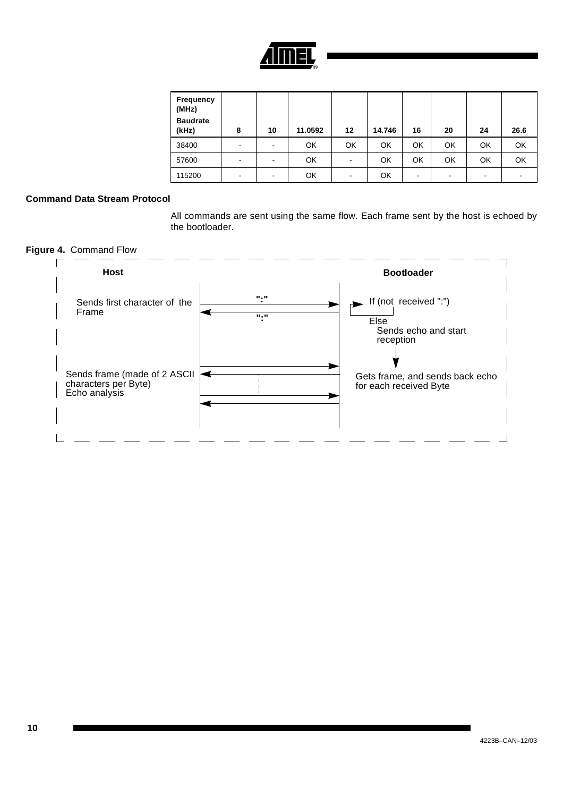![](_page_9_Picture_0.jpeg)

| Frequency<br>(MHz)<br><b>Baudrate</b><br>(kHz) | 8 | 10 | 11.0592 | $12 \,$                  | 14.746 | 16                       | 20 | 24 | 26.6 |
|------------------------------------------------|---|----|---------|--------------------------|--------|--------------------------|----|----|------|
| 38400                                          | - |    | OK      | OK                       | OK     | OK                       | OK | OK | OK   |
| 57600                                          | - |    | OK      | $\overline{\phantom{a}}$ | OK     | OK                       | OK | OK | OK   |
| 115200                                         | - | ۰  | OK      | $\overline{\phantom{a}}$ | OK     | $\overline{\phantom{a}}$ |    | ۰  | ۰    |

### **Command Data Stream Protocol**

All commands are sent using the same flow. Each frame sent by the host is echoed by the bootloader.

![](_page_9_Figure_4.jpeg)

![](_page_9_Figure_5.jpeg)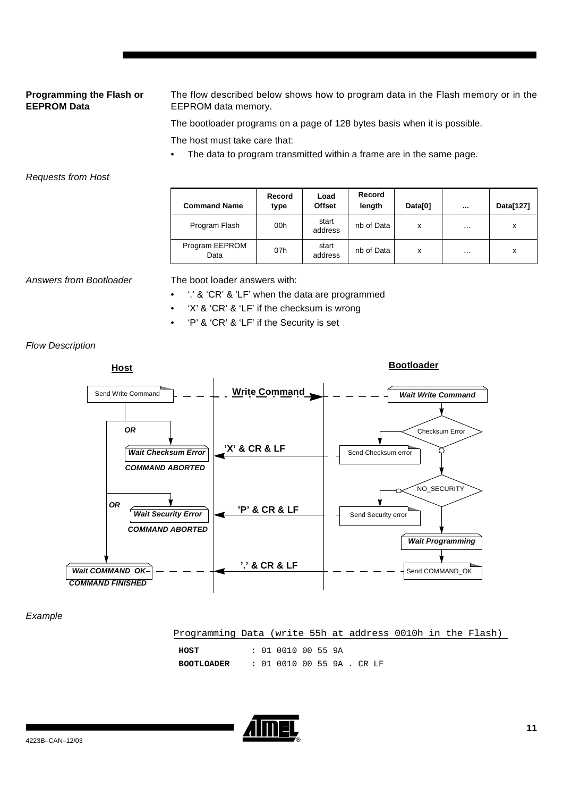### **Programming the Flash or EEPROM Data**

The flow described below shows how to program data in the Flash memory or in the EEPROM data memory.

The bootloader programs on a page of 128 bytes basis when it is possible.

The host must take care that:

The data to program transmitted within a frame are in the same page.

### Requests from Host

| <b>Command Name</b>    | Record<br>type | Load<br><b>Offset</b> | Record<br>length | Data[0] | $\cdots$ | Data[127] |
|------------------------|----------------|-----------------------|------------------|---------|----------|-----------|
| Program Flash          | 00h            | start<br>address      | nb of Data       | x       | $\cdots$ | X         |
| Program EEPROM<br>Data | 07h            | start<br>address      | nb of Data       | x       | $\cdots$ | x         |

Answers from Bootloader The boot loader answers with:

- '.' & 'CR' & 'LF' when the data are programmed
- 'X' & 'CR' & 'LF' if the checksum is wrong
- 'P' & 'CR' & 'LF' if the Security is set

Flow Description

![](_page_10_Figure_13.jpeg)

### Example

| Programming Data (write 55h at address 0010h in the Flash) |                            |  |  |  |  |
|------------------------------------------------------------|----------------------------|--|--|--|--|
|                                                            |                            |  |  |  |  |
| HOST                                                       | : 01 0010 00 55 9A         |  |  |  |  |
| BOOTLOADER                                                 | : 01 0010 00 55 9A . CR LF |  |  |  |  |

![](_page_10_Picture_16.jpeg)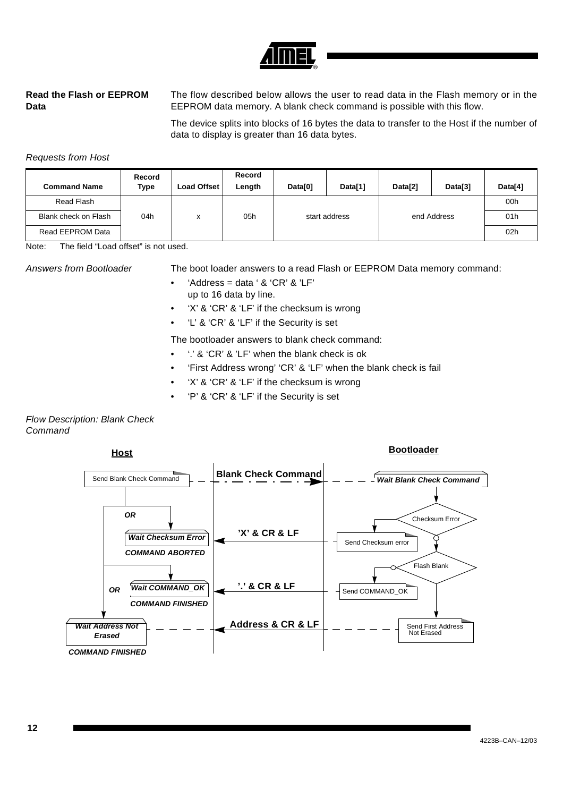![](_page_11_Picture_0.jpeg)

### **Read the Flash or EEPROM Data**

The flow described below allows the user to read data in the Flash memory or in the EEPROM data memory. A blank check command is possible with this flow.

The device splits into blocks of 16 bytes the data to transfer to the Host if the number of data to display is greater than 16 data bytes.

### Requests from Host

| <b>Command Name</b>  | Record<br>Type | Load Offset | Record<br>Length | Data[0] | Data[1]       | Data <sup>[2]</sup> | Data[3]     | Data[4] |
|----------------------|----------------|-------------|------------------|---------|---------------|---------------------|-------------|---------|
| Read Flash           |                |             |                  |         |               |                     |             | 00h     |
| Blank check on Flash | 04h            | x           | 05h              |         | start address |                     | end Address | 01h     |
| Read EEPROM Data     |                |             |                  |         |               |                     |             | 02h     |

Note: The field "Load offset" is not used.

- Answers from Bootloader The boot loader answers to a read Flash or EEPROM Data memory command:
	- 'Address = data ' & 'CR' & 'LF' up to 16 data by line.
	- 'X' & 'CR' & 'LF' if the checksum is wrong
	- 'L' & 'CR' & 'LF' if the Security is set

The bootloader answers to blank check command:

- '.' & 'CR' & 'LF' when the blank check is ok
- 'First Address wrong' 'CR' & 'LF' when the blank check is fail
- 'X' & 'CR' & 'LF' if the checksum is wrong
- 'P' & 'CR' & 'LF' if the Security is set

### Flow Description: Blank Check **Command**

![](_page_11_Figure_18.jpeg)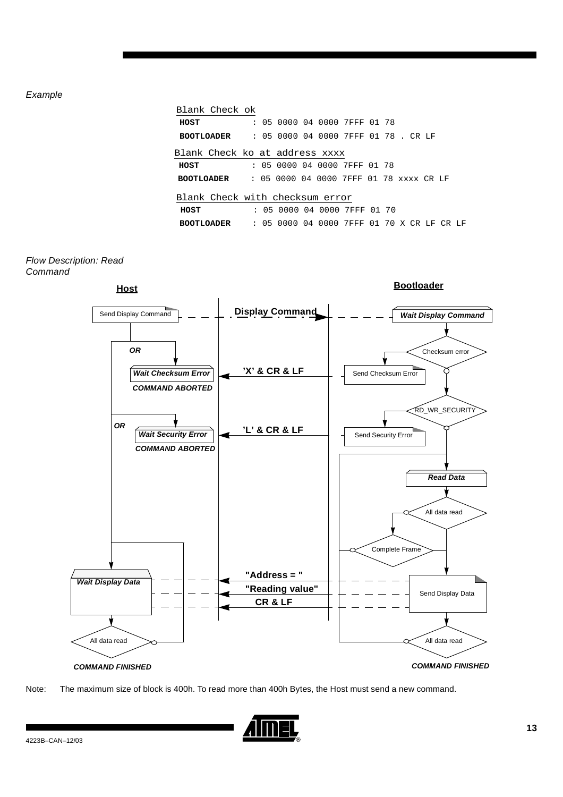### Example

|                   | Blank Check ok                                            |  |  |                                            |  |  |  |  |
|-------------------|-----------------------------------------------------------|--|--|--------------------------------------------|--|--|--|--|
| HOST              |                                                           |  |  | : 05 0000 04 0000 7FFF 01 78               |  |  |  |  |
|                   | <b>BOOTLOADER : 05 0000 04 0000 7FFF 01 78. CR LF</b>     |  |  |                                            |  |  |  |  |
|                   | Blank Check ko at address xxxx                            |  |  |                                            |  |  |  |  |
| HOST              |                                                           |  |  | : 05 0000 04 0000 7FFF 01 78               |  |  |  |  |
|                   | <b>BOOTLOADER : 05 0000 04 0000 7FFF 01 78 xxxx CR LF</b> |  |  |                                            |  |  |  |  |
|                   | Blank Check with checksum error                           |  |  |                                            |  |  |  |  |
| HOST              |                                                           |  |  | : 05 0000 04 0000 7FFF 01 70               |  |  |  |  |
| <b>BOOTLOADER</b> |                                                           |  |  | : 05 0000 04 0000 7FFF 01 70 X CR LF CR LF |  |  |  |  |

### Flow Description: Read **Command**

![](_page_12_Figure_3.jpeg)

![](_page_12_Figure_4.jpeg)

![](_page_12_Picture_5.jpeg)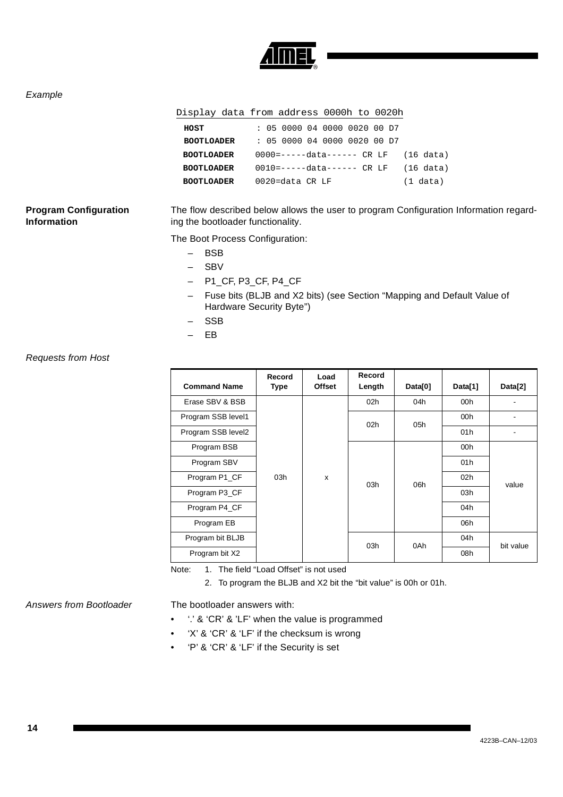![](_page_13_Picture_0.jpeg)

### Example

### Display data from address 0000h to 0020h

| HOST              |  |                 |  | : 05 0000 04 0000 0020 00 D7 |  |                                         |
|-------------------|--|-----------------|--|------------------------------|--|-----------------------------------------|
| <b>BOOTLOADER</b> |  |                 |  | : 05 0000 04 0000 0020 00 D7 |  |                                         |
| <b>BOOTLOADER</b> |  |                 |  |                              |  | $0000$ =-----data------ CR LF (16 data) |
| <b>BOOTLOADER</b> |  |                 |  |                              |  | $0010$ =-----data------ CR LF (16 data) |
| <b>BOOTLOADER</b> |  | 0020=data CR LF |  |                              |  | (1 data)                                |

### **Program Configuration Information**

The flow described below allows the user to program Configuration Information regarding the bootloader functionality.

The Boot Process Configuration:

- BSB
- SBV
- P1\_CF, P3\_CF, P4\_CF
- Fuse bits (BLJB and X2 bits) (see [Section "Mapping and Default Value of](#page-3-0)  [Hardware Security Byte"\)](#page-3-0)
- SSB
- EB

### Requests from Host

| <b>Command Name</b> | Record<br><b>Type</b> | Load<br><b>Offset</b> | Record<br>Length | Data[0] | Data[1]         | Data[2]   |
|---------------------|-----------------------|-----------------------|------------------|---------|-----------------|-----------|
| Erase SBV & BSB     |                       |                       | 02 <sub>h</sub>  | 04h     | 00h             |           |
| Program SSB level1  |                       |                       | 02 <sub>h</sub>  | 05h     | 00h             |           |
| Program SSB level2  |                       |                       |                  |         | 01h             |           |
| Program BSB         |                       |                       |                  |         | 00h             |           |
| Program SBV         |                       |                       |                  |         | 01h             |           |
| Program P1_CF       | 03h                   | X                     |                  | 06h     | 02 <sub>h</sub> | value     |
| Program P3_CF       |                       |                       | 03h              |         | 03h             |           |
| Program P4 CF       |                       |                       |                  |         | 04h             |           |
| Program EB          |                       |                       |                  |         | 06h             |           |
| Program bit BLJB    |                       |                       | 03h              | 0Ah     | 04h             | bit value |
| Program bit X2      |                       |                       |                  |         | 08h             |           |

Note: 1. The field "Load Offset" is not used

2. To program the BLJB and X2 bit the "bit value" is 00h or 01h.

Answers from Bootloader The bootloader answers with:

- : '.' & 'CR' & 'LF' when the value is programmed
- 'X' & 'CR' & 'LF' if the checksum is wrong
- 'P' & 'CR' & 'LF' if the Security is set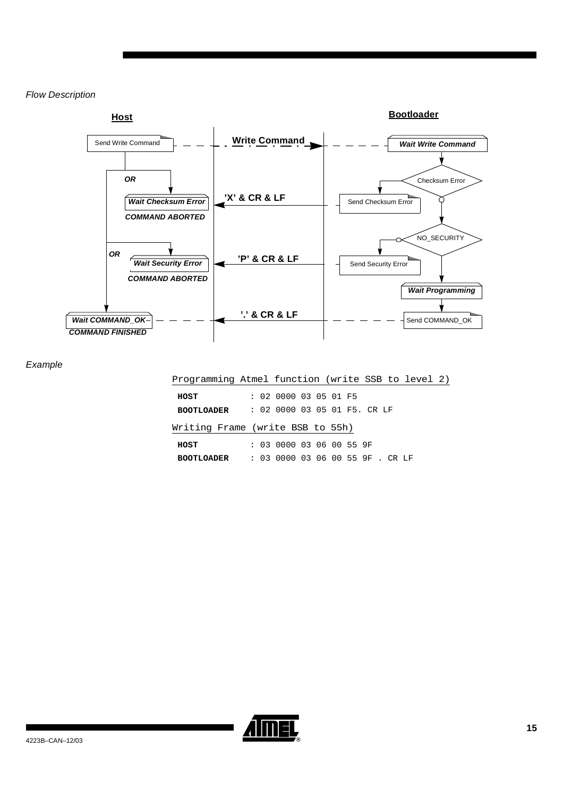### Flow Description

![](_page_14_Figure_1.jpeg)

Example

| Programming Atmel function (write SSB to level 2) |  |                                  |  |  |  |  |  |
|---------------------------------------------------|--|----------------------------------|--|--|--|--|--|
| HOST                                              |  | : 02 0000 03 05 01 F5            |  |  |  |  |  |
| <b>BOOTLOADER</b>                                 |  | : 02 0000 03 05 01 F5. CR LF     |  |  |  |  |  |
| Writing Frame (write BSB to 55h)                  |  |                                  |  |  |  |  |  |
| HOST                                              |  | : 03 0000 03 06 00 55 9F         |  |  |  |  |  |
| <b>BOOTLOADER</b>                                 |  | : 03 0000 03 06 00 55 9F . CR LF |  |  |  |  |  |
|                                                   |  |                                  |  |  |  |  |  |

![](_page_14_Picture_4.jpeg)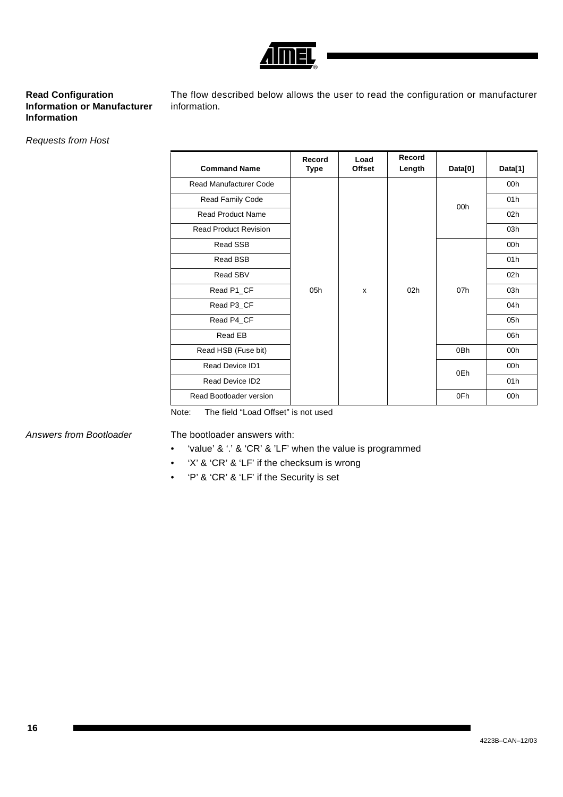![](_page_15_Picture_0.jpeg)

### **Read Configuration Information or Manufacturer Information**

The flow described below allows the user to read the configuration or manufacturer information.

Requests from Host

| <b>Command Name</b>          | Record<br>Type | Load<br><b>Offset</b> | Record<br>Length | Data[0] | Data[1]         |
|------------------------------|----------------|-----------------------|------------------|---------|-----------------|
| Read Manufacturer Code       |                |                       |                  |         | 00h             |
| Read Family Code             |                |                       |                  | 00h     | 01h             |
| <b>Read Product Name</b>     |                |                       |                  |         | 02h             |
| <b>Read Product Revision</b> |                |                       |                  |         | 03h             |
| Read SSB                     |                |                       |                  |         | 00h             |
| Read BSB                     |                |                       |                  |         | 01 <sub>h</sub> |
| Read SBV                     |                |                       |                  |         | 02h             |
| Read P1_CF                   | 05h            | X                     | 02h              | 07h     | 03h             |
| Read P3_CF                   |                |                       |                  |         | 04h             |
| Read P4_CF                   |                |                       |                  |         | 05h             |
| Read EB                      |                |                       |                  |         | 06h             |
| Read HSB (Fuse bit)          |                |                       |                  | 0Bh     | 00h             |
| Read Device ID1              |                |                       |                  | 0Eh     | 00h             |
| Read Device ID2              |                |                       |                  |         | 01h             |
| Read Bootloader version      |                |                       |                  | 0Fh     | 00h             |

Note: The field "Load Offset" is not used

Answers from Bootloader The bootloader answers with:

- 'value' & '.' & 'CR' & 'LF' when the value is programmed
- 'X' & 'CR' & 'LF' if the checksum is wrong
- 'P' & 'CR' & 'LF' if the Security is set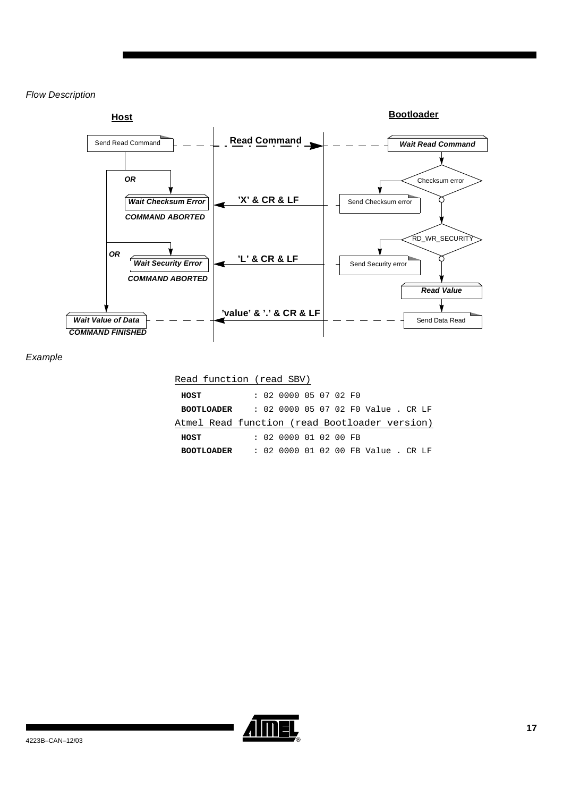### Flow Description

![](_page_16_Figure_1.jpeg)

Example

### Read function (read SBV)

| HOST                                          |  | : 02 0000 05 07 02 F0 |  |  |                                     |  |  |
|-----------------------------------------------|--|-----------------------|--|--|-------------------------------------|--|--|
| <b>BOOTLOADER</b>                             |  |                       |  |  | : 02 0000 05 07 02 F0 Value . CR LF |  |  |
| Atmel Read function (read Bootloader version) |  |                       |  |  |                                     |  |  |
| HOST                                          |  | : 020000010200FE      |  |  |                                     |  |  |
| <b>BOOTLOADER</b>                             |  |                       |  |  | : 02 0000 01 02 00 FB Value . CR LF |  |  |

![](_page_16_Picture_5.jpeg)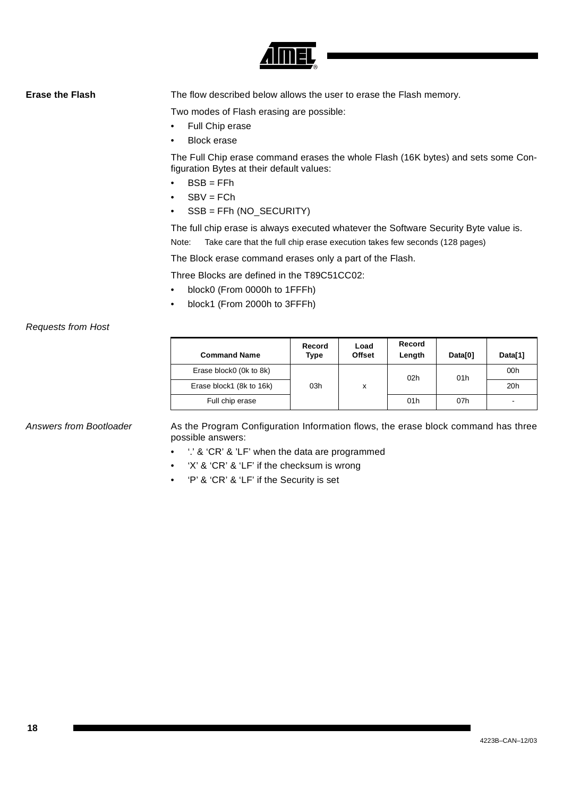![](_page_17_Picture_0.jpeg)

**Erase the Flash** The flow described below allows the user to erase the Flash memory.

Two modes of Flash erasing are possible:

- Full Chip erase
- **Block erase**

The Full Chip erase command erases the whole Flash (16K bytes) and sets some Configuration Bytes at their default values:

- BSB = FFh
- $SBV = FCh$
- SSB = FFh (NO\_SECURITY)

The full chip erase is always executed whatever the Software Security Byte value is. Note: Take care that the full chip erase execution takes few seconds (128 pages)

The Block erase command erases only a part of the Flash.

Three Blocks are defined in the T89C51CC02:

- block0 (From 0000h to 1FFFh)
- block1 (From 2000h to 3FFFh)

### Requests from Host

| <b>Command Name</b>      | Record<br>Type | Load<br><b>Offset</b> | Record<br>Length | Data <sub>[0]</sub> | Data[1] |
|--------------------------|----------------|-----------------------|------------------|---------------------|---------|
| Erase block0 (0k to 8k)  |                |                       | 02h              | 01h                 | 00h     |
| Erase block1 (8k to 16k) | 03h            | x                     |                  |                     | 20h     |
| Full chip erase          |                |                       | 01 <sub>h</sub>  | 07h                 |         |

Answers from Bootloader As the Program Configuration Information flows, the erase block command has three possible answers:

- '.' & 'CR' & 'LF' when the data are programmed
- 'X' & 'CR' & 'LF' if the checksum is wrong
- 'P' & 'CR' & 'LF' if the Security is set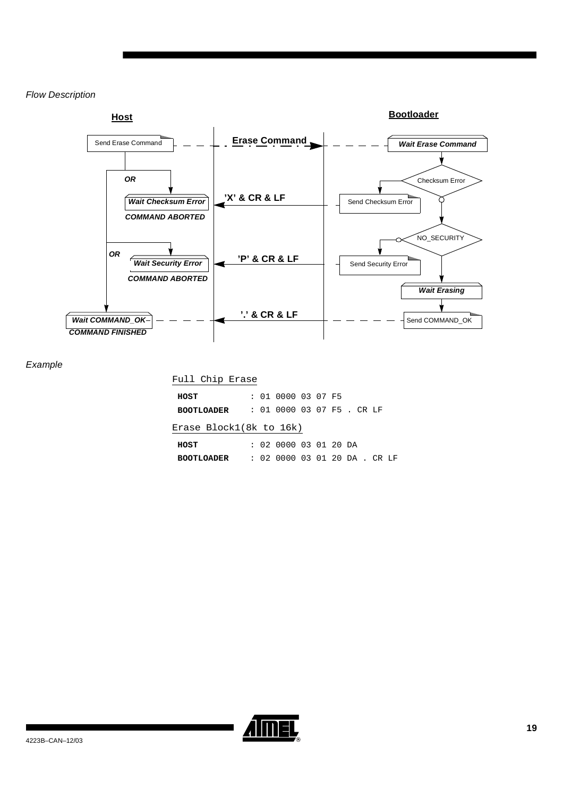### Flow Description

![](_page_18_Figure_1.jpeg)

Example

### Full Chip Erase

| HOST                    |  | : 01 0000 03 07 F5            |  |  |  |  |
|-------------------------|--|-------------------------------|--|--|--|--|
| <b>BOOTLOADER</b>       |  | : 01 0000 03 07 F5 . CR LF    |  |  |  |  |
| Erase Block1(8k to 16k) |  |                               |  |  |  |  |
| HOST                    |  | : 02 0000 03 01 20 DA         |  |  |  |  |
| <b>BOOTLOADER</b>       |  | : 02 0000 03 01 20 DA . CR LF |  |  |  |  |
|                         |  |                               |  |  |  |  |

![](_page_18_Picture_5.jpeg)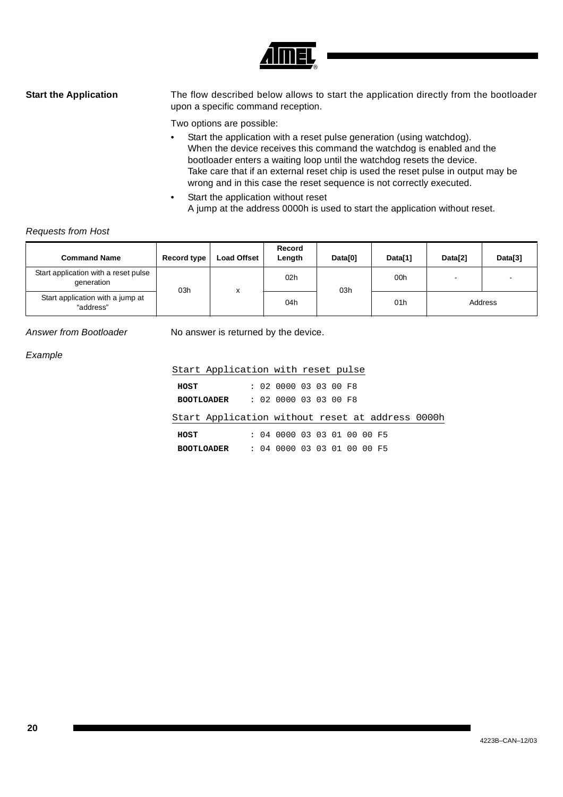![](_page_19_Picture_0.jpeg)

**Start the Application** The flow described below allows to start the application directly from the bootloader upon a specific command reception.

Two options are possible:

- Start the application with a reset pulse generation (using watchdog). When the device receives this command the watchdog is enabled and the bootloader enters a waiting loop until the watchdog resets the device. Take care that if an external reset chip is used the reset pulse in output may be wrong and in this case the reset sequence is not correctly executed.
- Start the application without reset A jump at the address 0000h is used to start the application without reset.

### Requests from Host

| <b>Command Name</b>                                | Record type | <b>Load Offset</b> | Record<br>Length | Data[0] | Data[1] | Data[2] | Data[3] |
|----------------------------------------------------|-------------|--------------------|------------------|---------|---------|---------|---------|
| Start application with a reset pulse<br>generation | 03h         | $\checkmark$       | 02h              | 03h     | 00h     |         |         |
| Start application with a jump at<br>"address"      |             |                    | 04h              |         | 01h     | Address |         |

Answer from Bootloader No answer is returned by the device.

### Example

|      | Start Application with reset pulse               |  |                             |  |  |  |  |
|------|--------------------------------------------------|--|-----------------------------|--|--|--|--|
| HOST |                                                  |  | : 020000030300F8            |  |  |  |  |
|      | <b>BOOTLOADER</b>                                |  | : 020000030300F8            |  |  |  |  |
|      | Start Application without reset at address 0000h |  |                             |  |  |  |  |
| HOST |                                                  |  | : 04 0000 03 03 01 00 00 F5 |  |  |  |  |
|      | <b>BOOTLOADER</b>                                |  | : 04 0000 03 03 01 00 00 F5 |  |  |  |  |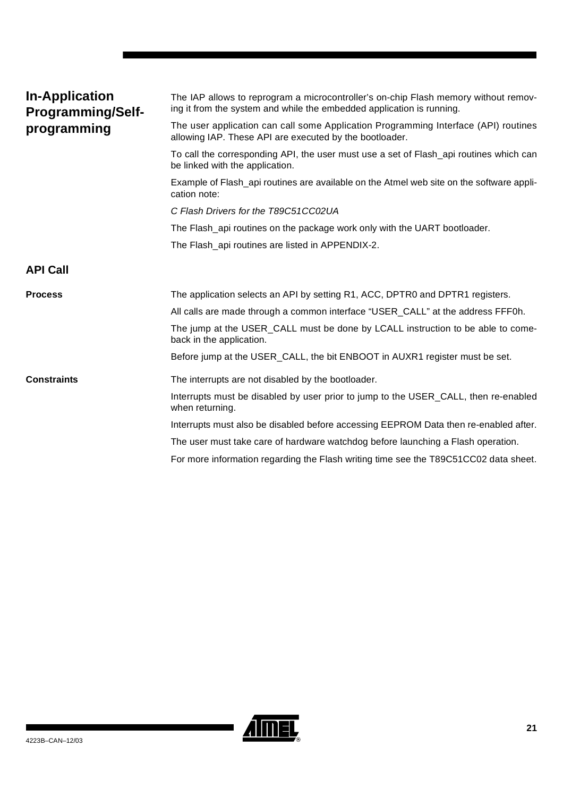<span id="page-20-1"></span><span id="page-20-0"></span>

| <b>In-Application</b><br><b>Programming/Self-</b> | The IAP allows to reprogram a microcontroller's on-chip Flash memory without remov-<br>ing it from the system and while the embedded application is running. |  |  |  |  |
|---------------------------------------------------|--------------------------------------------------------------------------------------------------------------------------------------------------------------|--|--|--|--|
| programming                                       | The user application can call some Application Programming Interface (API) routines<br>allowing IAP. These API are executed by the bootloader.               |  |  |  |  |
|                                                   | To call the corresponding API, the user must use a set of Flash_api routines which can<br>be linked with the application.                                    |  |  |  |  |
|                                                   | Example of Flash_api routines are available on the Atmel web site on the software appli-<br>cation note:                                                     |  |  |  |  |
|                                                   | C Flash Drivers for the T89C51CC02UA                                                                                                                         |  |  |  |  |
|                                                   | The Flash_api routines on the package work only with the UART bootloader.                                                                                    |  |  |  |  |
|                                                   | The Flash_api routines are listed in APPENDIX-2.                                                                                                             |  |  |  |  |
| <b>API Call</b>                                   |                                                                                                                                                              |  |  |  |  |
| <b>Process</b>                                    | The application selects an API by setting R1, ACC, DPTR0 and DPTR1 registers.                                                                                |  |  |  |  |
|                                                   | All calls are made through a common interface "USER_CALL" at the address FFF0h.                                                                              |  |  |  |  |
|                                                   | The jump at the USER_CALL must be done by LCALL instruction to be able to come-<br>back in the application.                                                  |  |  |  |  |
|                                                   | Before jump at the USER_CALL, the bit ENBOOT in AUXR1 register must be set.                                                                                  |  |  |  |  |
| <b>Constraints</b>                                | The interrupts are not disabled by the bootloader.                                                                                                           |  |  |  |  |
|                                                   | Interrupts must be disabled by user prior to jump to the USER_CALL, then re-enabled<br>when returning.                                                       |  |  |  |  |
|                                                   |                                                                                                                                                              |  |  |  |  |
|                                                   | Interrupts must also be disabled before accessing EEPROM Data then re-enabled after.                                                                         |  |  |  |  |
|                                                   | The user must take care of hardware watchdog before launching a Flash operation.                                                                             |  |  |  |  |

![](_page_20_Picture_1.jpeg)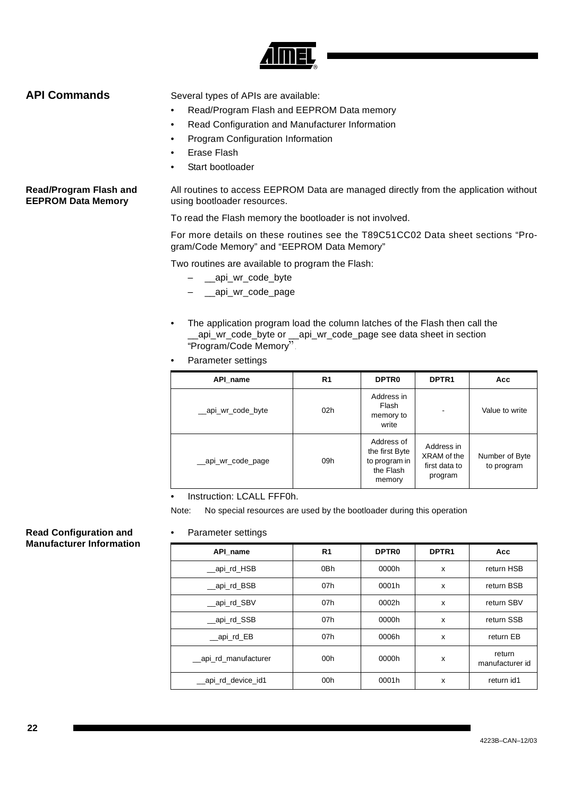![](_page_21_Picture_0.jpeg)

<span id="page-21-0"></span>**API Commands** Several types of APIs are available:

- Read/Program Flash and EEPROM Data memory
- Read Configuration and Manufacturer Information
- Program Configuration Information
- Erase Flash
- Start bootloader

**Read/Program Flash and EEPROM Data Memory** All routines to access EEPROM Data are managed directly from the application without using bootloader resources.

To read the Flash memory the bootloader is not involved.

For more details on these routines see the T89C51CC02 Data sheet sections "Program/Code Memory" and "EEPROM Data Memory"

Two routines are available to program the Flash:

- \_\_api\_wr\_code\_byte
- \_\_api\_wr\_code\_page
- The application program load the column latches of the Flash then call the \_\_api\_wr\_code\_byte or \_\_api\_wr\_code\_page see data sheet in section "Program/Code Memory".
- Parameter settings

| API_name           | R1  | <b>DPTR0</b>                                                         | DPTR <sub>1</sub>                                     | Acc                          |
|--------------------|-----|----------------------------------------------------------------------|-------------------------------------------------------|------------------------------|
| __api_wr_code_byte | 02h | Address in<br>Flash<br>memory to<br>write                            |                                                       | Value to write               |
| __api_wr_code_page | 09h | Address of<br>the first Byte<br>to program in<br>the Flash<br>memory | Address in<br>XRAM of the<br>first data to<br>program | Number of Byte<br>to program |

Instruction: LCALL FFF0h.

Note: No special resources are used by the bootloader during this operation

• Parameter settings

| ٠<br>Parameter settings |                 |                   |                           |                           |
|-------------------------|-----------------|-------------------|---------------------------|---------------------------|
| API name                | R <sub>1</sub>  | DPTR <sub>0</sub> | DPTR <sub>1</sub>         | Acc                       |
| __api_rd_HSB            | 0Bh             | 0000h             | $\boldsymbol{\mathsf{x}}$ | return HSB                |
| api_rd_BSB              | 07h             | 0001h             | X                         | return BSB                |
| api rd SBV              | 07h             | 0002h             | X                         | return SBV                |
| api rd SSB              | 07h             | 0000h             | X                         | return SSB                |
| api rd EB               | 07h             | 0006h             | X                         | return EB                 |
| _api_rd_manufacturer    | 00 <sub>h</sub> | 0000h             | X                         | return<br>manufacturer id |
| api_rd_device_id1       | 00 <sub>h</sub> | 0001h             | X                         | return id1                |
|                         |                 |                   |                           |                           |

### **Read Configuration and Manufacturer Information**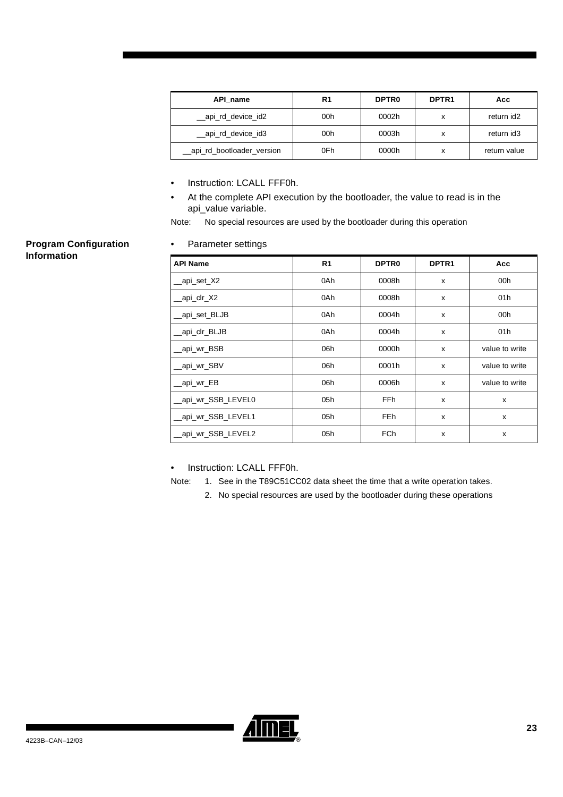| API name                   | R1  | <b>DPTRO</b> | DPTR <sub>1</sub> | Асс          |
|----------------------------|-----|--------------|-------------------|--------------|
| __api_rd_device_id2        | 00h | 0002h        | x                 | return id2   |
| __api_rd_device_id3        | 00h | 0003h        | х                 | return id3   |
| _api_rd_bootloader_version | 0Fh | 0000h        | х                 | return value |

- Instruction: LCALL FFF0h.
- At the complete API execution by the bootloader, the value to read is in the api\_value variable.

Note: No special resources are used by the bootloader during this operation

### • Parameter settings

| <b>API Name</b>   | R <sub>1</sub> | DPTR <sub>0</sub>                  | DPTR <sub>1</sub>         | Acc             |
|-------------------|----------------|------------------------------------|---------------------------|-----------------|
| api_set_X2        | 0Ah            | 0008h                              | X                         | 00h             |
| _api_clr_X2       | 0Ah            | 0008h                              | X                         | 01 <sub>h</sub> |
| api_set_BLJB      | 0Ah            | 0004h<br>$\boldsymbol{\mathsf{x}}$ |                           | 00h             |
| api_clr_BLJB      | 0Ah            | 0004h                              | X                         | 01 <sub>h</sub> |
| _api_wr_BSB       | 06h            | 0000h                              | X                         | value to write  |
| api wr SBV        | 06h            | 0001h                              | X                         | value to write  |
| api_wr_EB         | 06h            | 0006h                              | X                         | value to write  |
| api_wr_SSB_LEVEL0 | 05h            | <b>FFh</b>                         | $\boldsymbol{\mathsf{x}}$ | X               |
| api_wr_SSB_LEVEL1 | 05h            | FEh                                | X                         | X               |
| api_wr_SSB_LEVEL2 | 05h            | <b>FCh</b>                         | X                         | X               |

Instruction: LCALL FFF0h.

Note: 1. See in the T89C51CC02 data sheet the time that a write operation takes.

2. No special resources are used by the bootloader during these operations

![](_page_22_Picture_9.jpeg)

**Program Configuration** 

**Information**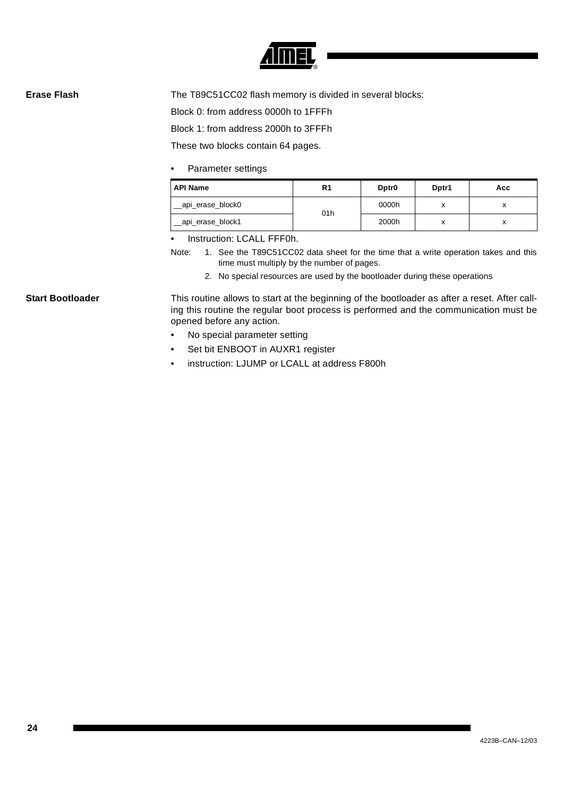![](_page_23_Picture_0.jpeg)

**Erase Flash** The T89C51CC02 flash memory is divided in several blocks:

Block 0: from address 0000h to 1FFFh

Block 1: from address 2000h to 3FFFh

These two blocks contain 64 pages.

• Parameter settings

| <b>API Name</b>    | R <sub>1</sub> | Dptr <sub>0</sub> | Dptr1  | Acc    |
|--------------------|----------------|-------------------|--------|--------|
| __api_erase_block0 | 01h            | 0000h             | v<br>́ | v<br>́ |
| _api_erase_block1  |                | 2000h             | v<br>́ | v<br>́ |

Instruction: LCALL FFF0h.

- Note: 1. See the T89C51CC02 data sheet for the time that a write operation takes and this time must multiply by the number of pages.
	- 2. No special resources are used by the bootloader during these operations

**Start Bootloader** This routine allows to start at the beginning of the bootloader as after a reset. After calling this routine the regular boot process is performed and the communication must be opened before any action.

- No special parameter setting
- Set bit ENBOOT in AUXR1 register
- instruction: LJUMP or LCALL at address F800h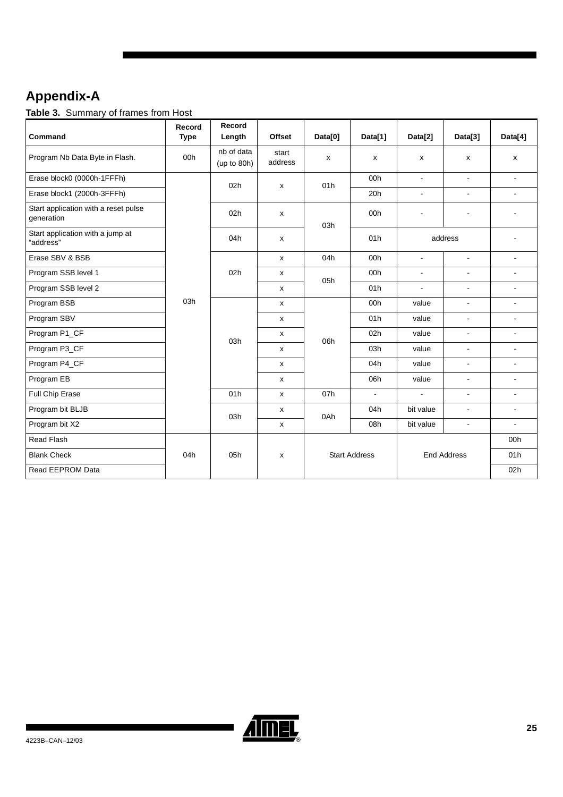# <span id="page-24-0"></span>**Appendix-A**

**Table 3.** Summary of frames from Host

| Command                                            | Record<br><b>Type</b> | Record<br>Length             | <b>Offset</b>      | Data[0]            | Data[1]              | Data[2]                  | Data[3]                  | Data[4]                  |
|----------------------------------------------------|-----------------------|------------------------------|--------------------|--------------------|----------------------|--------------------------|--------------------------|--------------------------|
| Program Nb Data Byte in Flash.                     | 00h                   | nb of data<br>(up to $80h$ ) | start<br>address   | $\pmb{\mathsf{X}}$ | x                    | x                        | $\pmb{\mathsf{X}}$       | X                        |
| Erase block0 (0000h-1FFFh)                         |                       | 02h                          | x                  | 01h                | 00h                  | $\blacksquare$           | $\overline{a}$           | $\blacksquare$           |
| Erase block1 (2000h-3FFFh)                         |                       |                              |                    |                    | 20h                  | $\blacksquare$           | $\blacksquare$           | $\blacksquare$           |
| Start application with a reset pulse<br>generation |                       | 02h                          | X                  | 03h                | 00h                  | $\overline{\phantom{a}}$ | $\overline{\phantom{a}}$ |                          |
| Start application with a jump at<br>"address"      |                       | 04h                          | $\mathsf{x}$       |                    | 01h                  |                          | address                  |                          |
| Erase SBV & BSB                                    |                       |                              | $\mathsf{x}$       | 04h                | 00h                  | $\blacksquare$           | $\Box$                   | $\blacksquare$           |
| Program SSB level 1                                |                       | 02h                          | x                  | 05h                | 00h                  | $\blacksquare$           | $\overline{a}$           |                          |
| Program SSB level 2                                |                       |                              | $\pmb{\mathsf{x}}$ |                    | 01h                  | $\blacksquare$           | $\blacksquare$           |                          |
| Program BSB                                        | 03h                   | x                            |                    | 00h                | value                | $\blacksquare$           |                          |                          |
| Program SBV                                        |                       |                              | $\pmb{\mathsf{x}}$ |                    | 01h                  | value                    | $\blacksquare$           | $\overline{a}$           |
| Program P1_CF                                      |                       | 03h                          | x                  | 06h                | 02h                  | value                    | $\blacksquare$           | $\overline{\phantom{a}}$ |
| Program P3_CF                                      |                       |                              | x                  |                    | 03h                  | value                    | $\blacksquare$           | $\blacksquare$           |
| Program P4_CF                                      |                       |                              | x                  |                    | 04h                  | value                    | $\blacksquare$           | $\blacksquare$           |
| Program EB                                         |                       |                              | $\mathsf{x}$       |                    | 06h                  | value                    | $\blacksquare$           | $\blacksquare$           |
| Full Chip Erase                                    |                       | 01h                          | $\pmb{\mathsf{x}}$ | 07h                | $\blacksquare$       | $\overline{\phantom{a}}$ | $\blacksquare$           |                          |
| Program bit BLJB                                   |                       | 03h                          | x                  | 0Ah                | 04h                  | bit value                | $\blacksquare$           | $\blacksquare$           |
| Program bit X2                                     |                       |                              | x                  |                    | 08h                  | bit value                | $\overline{a}$           |                          |
| Read Flash                                         |                       |                              |                    |                    |                      |                          |                          | 00h                      |
| <b>Blank Check</b>                                 | 04h                   | 05h                          | $\pmb{\mathsf{x}}$ |                    | <b>Start Address</b> |                          | <b>End Address</b>       | 01h                      |
| Read EEPROM Data                                   |                       |                              |                    |                    |                      |                          |                          | 02h                      |

![](_page_24_Picture_3.jpeg)

▊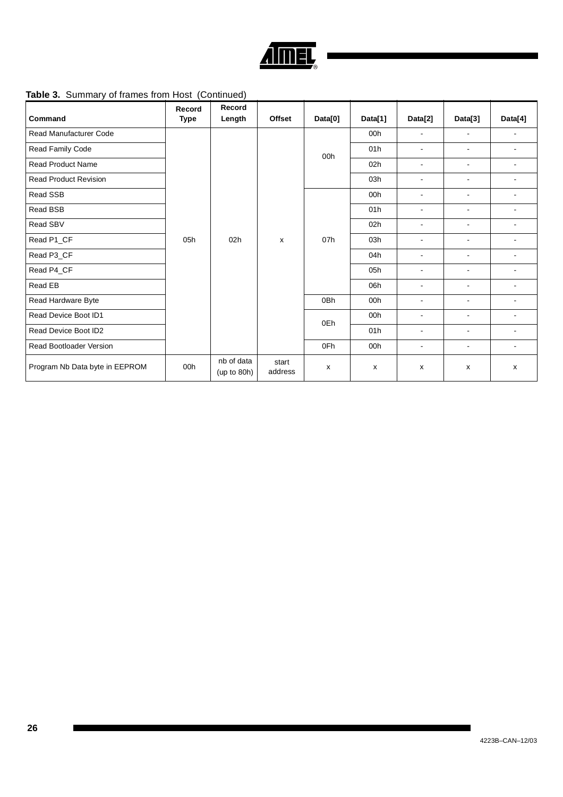![](_page_25_Picture_0.jpeg)

## **Table 3.** Summary of frames from Host (Continued)

|                                | Record | Record                    |                  |                           |         |                |                          |                          |                |                |                |     |                |   |
|--------------------------------|--------|---------------------------|------------------|---------------------------|---------|----------------|--------------------------|--------------------------|----------------|----------------|----------------|-----|----------------|---|
| Command                        | Type   | Length                    | <b>Offset</b>    | Data[0]                   | Data[1] | Data[2]        | Data[3]                  | Data[4]                  |                |                |                |     |                |   |
| <b>Read Manufacturer Code</b>  |        |                           |                  |                           | 00h     | ÷.             | $\sim$                   | $\overline{a}$           |                |                |                |     |                |   |
| Read Family Code               |        |                           |                  | 00h                       | 01h     | $\blacksquare$ | $\blacksquare$           | $\overline{\phantom{a}}$ |                |                |                |     |                |   |
| <b>Read Product Name</b>       |        |                           |                  |                           | 02h     | $\sim$         | $\sim$                   | $\sim$                   |                |                |                |     |                |   |
| <b>Read Product Revision</b>   |        |                           |                  |                           | 03h     | $\blacksquare$ | $\blacksquare$           | $\blacksquare$           |                |                |                |     |                |   |
| Read SSB                       |        |                           |                  |                           | 00h     | $\sim$         | $\blacksquare$           | ÷.                       |                |                |                |     |                |   |
| Read BSB                       |        | 05h<br>02h                |                  |                           | 01h     | $\sim$         | $\sim$                   | ٠                        |                |                |                |     |                |   |
| Read SBV                       |        |                           | X                |                           | 02h     | $\blacksquare$ | $\blacksquare$           | ۰                        |                |                |                |     |                |   |
| Read P1_CF                     |        |                           |                  | 07h                       | 03h     | ÷.             | $\overline{\phantom{a}}$ | ÷.                       |                |                |                |     |                |   |
| Read P3_CF                     |        |                           |                  |                           | 04h     | $\blacksquare$ | $\blacksquare$           | ۰                        |                |                |                |     |                |   |
| Read P4_CF                     |        |                           |                  |                           |         |                |                          |                          | 05h            | ÷.             | $\blacksquare$ | ÷.  |                |   |
| Read EB                        |        |                           |                  |                           |         |                |                          | 06h                      | $\blacksquare$ | $\blacksquare$ | ۰              |     |                |   |
| Read Hardware Byte             |        |                           |                  |                           |         |                | 0 <sub>Bh</sub>          | 00h                      | ÷.             | $\overline{a}$ | ÷.             |     |                |   |
| Read Device Boot ID1           |        |                           |                  | 0Eh                       | 00h     | ä,             | $\blacksquare$           | ۰                        |                |                |                |     |                |   |
| Read Device Boot ID2           |        |                           |                  |                           |         |                |                          |                          |                |                |                | 01h | $\blacksquare$ | ٠ |
| <b>Read Bootloader Version</b> |        |                           |                  | 0Fh                       | 00h     | $\blacksquare$ | $\blacksquare$           | ۰                        |                |                |                |     |                |   |
| Program Nb Data byte in EEPROM | 00h    | nb of data<br>(up to 80h) | start<br>address | $\boldsymbol{\mathsf{x}}$ | X       | x              | x                        | X                        |                |                |                |     |                |   |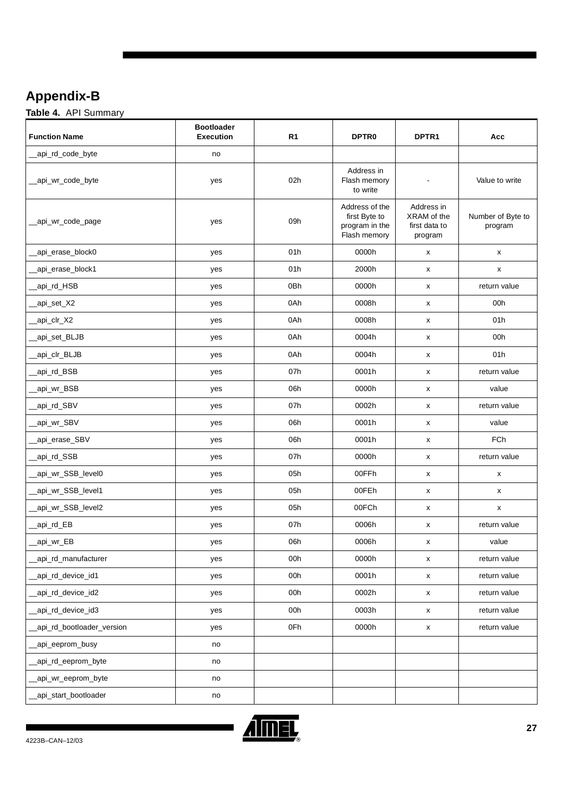# <span id="page-26-0"></span>**Appendix-B**

**Table 4.** API Summary

| <b>Function Name</b>       | <b>Bootloader</b><br><b>Execution</b> | R <sub>1</sub> | <b>DPTR0</b>                                                      | DPTR <sub>1</sub>                                     | Acc                          |
|----------------------------|---------------------------------------|----------------|-------------------------------------------------------------------|-------------------------------------------------------|------------------------------|
| _api_rd_code_byte          | no                                    |                |                                                                   |                                                       |                              |
| _api_wr_code_byte          | yes                                   | 02h            | Address in<br>Flash memory<br>to write                            | $\blacksquare$                                        | Value to write               |
| __api_wr_code_page         | yes                                   | 09h            | Address of the<br>first Byte to<br>program in the<br>Flash memory | Address in<br>XRAM of the<br>first data to<br>program | Number of Byte to<br>program |
| _api_erase_block0          | yes                                   | 01h            | 0000h                                                             | $\pmb{\mathsf{x}}$                                    | X                            |
| _api_erase_block1          | yes                                   | 01h            | 2000h                                                             | x                                                     | X                            |
| _api_rd_HSB                | yes                                   | 0Bh            | 0000h                                                             | X                                                     | return value                 |
| _api_set_X2                | yes                                   | 0Ah            | 0008h                                                             | X                                                     | 00h                          |
| _api_clr_X2                | yes                                   | 0Ah            | 0008h                                                             | X                                                     | 01h                          |
| _api_set_BLJB              | yes                                   | 0Ah            | 0004h                                                             | X                                                     | 00h                          |
| _api_clr_BLJB              | yes                                   | 0Ah            | 0004h                                                             | X                                                     | 01h                          |
| api_rd_BSB                 | yes                                   | 07h            | 0001h                                                             | X                                                     | return value                 |
| _api_wr_BSB                | yes                                   | 06h            | 0000h                                                             | X                                                     | value                        |
| _api_rd_SBV                | yes                                   | 07h            | 0002h                                                             | X                                                     | return value                 |
| _api_wr_SBV                | yes                                   | 06h            | 0001h                                                             | X                                                     | value                        |
| _api_erase_SBV             | yes                                   | 06h            | 0001h                                                             | X                                                     | <b>FCh</b>                   |
| _api_rd_SSB                | yes                                   | 07h            | 0000h                                                             | X                                                     | return value                 |
| _api_wr_SSB_level0         | yes                                   | 05h            | 00FFh                                                             | X                                                     | x                            |
| api_wr_SSB_level1          | yes                                   | 05h            | 00FEh                                                             | X                                                     | X                            |
| api_wr_SSB_level2          | yes                                   | 05h            | 00FCh                                                             | X                                                     | X                            |
| _api_rd_EB                 | yes                                   | 07h            | 0006h                                                             | X                                                     | return value                 |
| _api_wr_EB                 | yes                                   | 06h            | 0006h                                                             | x                                                     | value                        |
| api_rd_manufacturer        | yes                                   | 00h            | 0000h                                                             | $\pmb{\mathsf{x}}$                                    | return value                 |
| _api_rd_device_id1         | yes                                   | 00h            | 0001h                                                             | $\pmb{\mathsf{x}}$                                    | return value                 |
| _api_rd_device_id2         | yes                                   | 00h            | 0002h                                                             | $\pmb{\mathsf{X}}$                                    | return value                 |
| _api_rd_device_id3         | yes                                   | 00h            | 0003h                                                             | $\pmb{\mathsf{x}}$                                    | return value                 |
| _api_rd_bootloader_version | yes                                   | 0Fh            | 0000h                                                             | $\pmb{\mathsf{x}}$                                    | return value                 |
| _api_eeprom_busy           | no                                    |                |                                                                   |                                                       |                              |
| _api_rd_eeprom_byte        | no                                    |                |                                                                   |                                                       |                              |
| _api_wr_eeprom_byte        | no                                    |                |                                                                   |                                                       |                              |
| _api_start_bootloader      | no                                    |                |                                                                   |                                                       |                              |

![](_page_26_Picture_3.jpeg)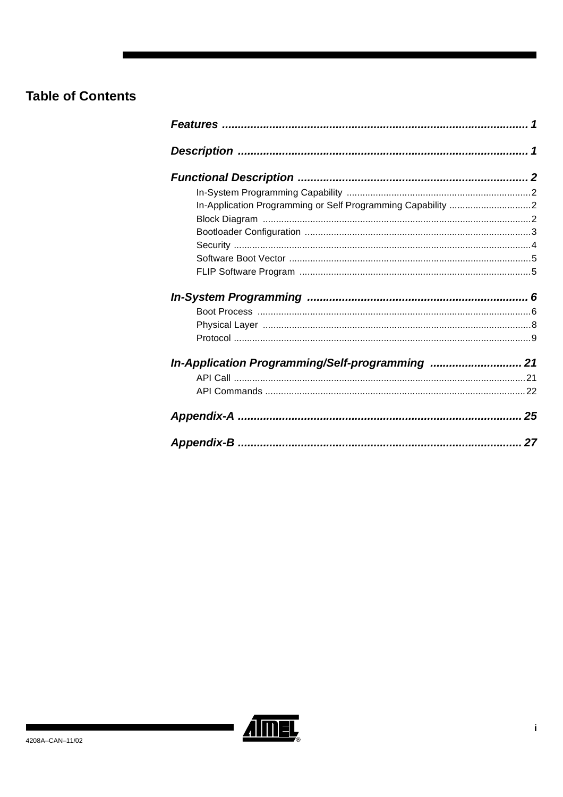# **Table of Contents**

| In-Application Programming or Self Programming Capability 2 |  |
|-------------------------------------------------------------|--|
|                                                             |  |
|                                                             |  |
|                                                             |  |
|                                                             |  |
|                                                             |  |
|                                                             |  |
|                                                             |  |
|                                                             |  |
|                                                             |  |
| In-Application Programming/Self-programming  21             |  |
|                                                             |  |
|                                                             |  |
|                                                             |  |
|                                                             |  |

![](_page_27_Picture_2.jpeg)